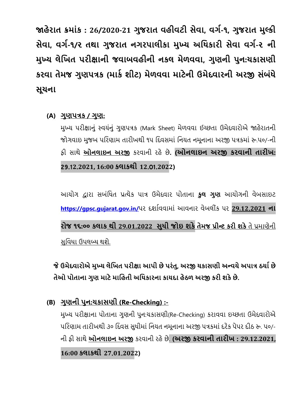**જાહેરાત ક્રમાાંક : 26/2020-21 ગુજરાત વહીવટી સેવા, વગગ-૧, ગુજરાત મુલ્કી સેવા, વગગ-૧/૨ તથા ગુજરાત નગરપાલીકા મુખ્ય અધિકારી સેવા વગગ-૨ ની મુખ્ય લેધિત પરીક્ષાની જવાબવહીની નકલ મેળવવા, ગુણની પુન:ચકાસણી કરવા તેમજ ગુણપત્રક (માકગ શીટ) મેળવવા માટેની ઉમેદવારની અરજી સાંબાંિે સૂચના**

## **(A) ગુણપત્રક / ગુણ:**

મુખ્ય પરીક્ષાનુું સ્વયુંનુું ગુણપત્રક (Mark Sheet) મેળવવા ઈચ્છતા ઉમેદવારોએ જાહેરાતની જોગવાઇ મજબ પરિણામ તારીખથી ૧૫ દિવસમાં નિયત નમનાના અરજી પત્રકમાં રુ.૫૦/-ની ફી સાથે **ઓનલાઇન અરજી** કરવાની રહેછે**. (ઓનલાઇન અરજી કરવાની તારીિ:** 29.1**2**.**2021, 16:00 કલાકથી 12**.01.**2022)**

આયોગ દ્વારા સબંધિત પ્રત્યેક પાત્ર ઉમેદવાર પોતાના **કુલ ગુણ** આયોગની વેબસાઇટ **https://gpsc.[gujarat](https://gpsc.gujarat.gov.in/).gov.in/**પર દર્ાાવવામાું આવનાર વેબલીકું પર **29.12**.**2021 ના રોજ ૧૬:૦૦ કલાક થી 29.01**.**2022 સુિી જોઇ શકેતેમજ પ્રીન્ટ કરી શકે**તે પ્રમાણેની સુવિધા ઉપલબ્ધ થશે.

**જેઉમદેવારોએ મુખ્ય લધેિત પરીક્ષા આપી છેપરાંતુ, અરજી ચકાસણી અ ન્વયે અપાત્ર ઠયાગ છે તેઓ પોતાના ગુણ માટે માધહતી અધિકારના કાયદા હેઠળ અરજી કરી શકે છે.** 

# **(B) ગુણની પુન:ચકાસણી (Re-Checking) :-**

મુખ્ય પરીક્ષાના પોતાના ગુણની પુન:ચકાસણી(Re-Checking) કરાવવા ઇચ્છતા ઉમેદવારોએ પરિણામ તારીખથી ૩૦ દિવસ સુધીમાં નિયત નમૂનાના અરજી પત્રકમાં દરેક પેપર દીઠ રૂ. ૫૦/-ની ફી સાથે <u>ઓનલાઇન અરજી</u> કરવાની રહે છે. **(અરજી કરવાની તારીખ : 29.12.2021, 16:00 કલાકથી 27**.**01**.**2022)**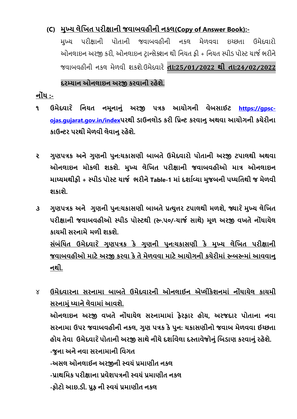## **(C) મુખ્ય લેધિત પરીક્ષાની જવાબવહીની નકલ(Copy of Answer Book):-**

મુખ્ય પરીક્ષાની પોતાની જવાબવહીની નકલ મેળવવા ઇચ્છતા ઉમેદવારો ઓનલાઇન અરજી કરી, ઓનલાઇન ટરાન્સેક્ર્ન થી રનયત ફી + રનયત સ્પીડ પોસ્ટ ચાજા ભરીને જવાબવહીની નકલ મેળવી ર્કર્ે.ઉમેદવારે **તા:25**/**01**/**2022 થી તા:24**/**02**/**2022**

### **દરમ્યાન ઓનલાઇન અરજી કરવાની રહેશે.**

**નોાંિ :-**

- **૧ ઉમેદવાર ે ધનયત નમૂનાનુાં અરજી પત્રક આયોગની વેબસાઈટ https://[gpsc](https://gpsc-ojas.gujarat.gov.in/index)ojas.[gujarat](https://gpsc-ojas.gujarat.gov.in/index).gov.in/indexપરથી ડાઉનલોડ કરી ધપ્રન્ટ કરવાનુ અથવા આયોગની કચેરીના કાઉન્ટર પરથી મેળવી લેવાનુ રહેશે.**
- **૨ ગુણપત્રક અને ગુણની પુન:ચકાસણી બાબતે ઉમેદવારો પોતાની અરજી ટપાલથી અથવા ઓનલાઇન મોકલી શકશે. મુખ્ય લેધિત પરીક્ષાની જવાબવહીઓ માત્ર ઓનલાઇન માધ્યમથીફી + સ્પીડ પોસ્ટ ચાજગ ભરીને Table-1 માાં દશાગવ્યા મુજબની પધ્િધતથી જ મેળવી શકાશે.**
- **૩ ગુણપત્રક અને ગુણની પુન:ચકાસણી બાબતેપ્રત્યુત્તર ટપાલથી મળશે, જ્યાર ેમુખ્ય લેધિત પરીક્ષાની જવાબવહીઓ સ્પીડ પોસ્ટથી (રૂ.૫૦/-ચાજગ સાથે) મૂળ અરજી વિતે નોાંિાયેલ કાયમી સરનામે મળી શકશે. સાંબાંધિત ઉમેદવાર ે ગુણપત્રક કે ગુણની પુન:ચકાસણી કે મુખ્ય લેધિત પરીક્ષાની જવાબવહીઓ માટે અરજી કરવા કે તે મેળવવા માટે આયોગની કચેરીમાાં રૂબરૂમાાં આવવાનુ નથી.**

૪ **ઉમેદવારના સરનામા બાબતે ઉમેદવારની ઓનલાઈન એપ્લીકેશનમાાં નોાંિાયેલ કાયમી સરનામુાં ધ્યાને લેવામાાં આવશે. ઓનલાઇન અરજી વિતે નોાંિાયેલ સરનામામાાં ફેરફાર હોય, અરજદાર પોતાના નવા સરનામા ઉપર જવાબવહીની નકલ, ગુણ પત્રક કે પુન: ચકાસણીનો જવાબ મેળવવા ઈચ્છતા હોય તેવા ઉમેદવાર ેપોતાની અરજી સાથેનીચેદશાગવેલા દસ્તાવજે ોનુાંધબડાણ કરવાનુાં રહેશે. -જુના અને નવા સરનામાની ધવગત -અસલ ઓનલાઈન અરજીની સ્વયાં પ્રમાણીત નકલ -પ્રાથધમક પરીક્ષાના પ્રવેશપત્રની સ્વયાં પ્રમાણીત નકલ -ફોટો આઇ.ડી. પ્રુફ ની સ્વયાં પ્રમાણીત નકલ**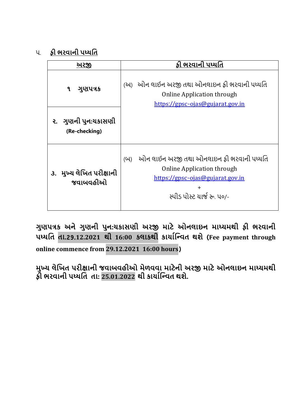૫. **ફી ભરવાની પધ્િધત**

| <u> અરજી</u>                         | ફી ભરવાની પધ્ધતિ                                                                                                                                                    |
|--------------------------------------|---------------------------------------------------------------------------------------------------------------------------------------------------------------------|
| ગુણપત્રક<br>٩                        | (અ) ઓન લાઈન અરજી તથા ઓનલાઇન ફી ભરવાની પધ્ધતિ<br><b>Online Application through</b><br>https://gpsc-ojas@gujarat.gov.in                                               |
| ૨. ગુણની પુન:યકાસણી<br>(Re-checking) |                                                                                                                                                                     |
| ૩. મુખ્ય લેખિત પરીક્ષાની<br>જવાબવહીઓ | ઓન લાઈન અરજી તથા ઓનલાઇન ફી ભરવાની પધ્ધતિ<br>(U)<br><b>Online Application through</b><br>https://gpsc-ojas@gujarat.gov.in<br>$\ddot{}$<br>સ્પીડ પોસ્ટ યાર્જ રૂ. ૫૦/- |

**ગુણપત્રક અને ગુણની પુન:ચકાસણી અરજી માટે ઓનલાઇન માધ્યમથી ફી ભરવાની પધ્િધત તા.**29.**12.2021 થી 16:00 કલાકથી કાયાગધન્વત થશે** (**Fee payment through** 

**online commence from 29.12.2021 16:00 hours**)

**મુખ્ય લેધિત પરીક્ષાની જવાબવહીઓ મેળવવા માટેની અરજી માટે ઓનલાઇન માધ્યમથી ફી ભરવાની પધ્િધત તા: 25.01.2022 થી કાયાગધન્વત થશે.**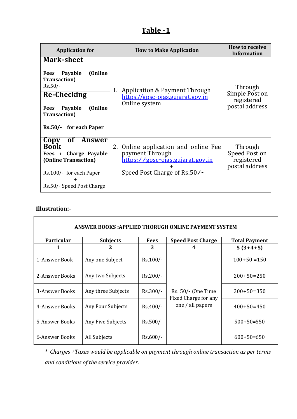## **Table -1**

| <b>Application for</b>                                                                                                                                                                           | <b>How to Make Application</b>                                                                                                 | <b>How to receive</b><br><b>Information</b>               |
|--------------------------------------------------------------------------------------------------------------------------------------------------------------------------------------------------|--------------------------------------------------------------------------------------------------------------------------------|-----------------------------------------------------------|
| <b>Mark-sheet</b><br>Fees Payable<br>(Online)<br><b>Transaction</b> )<br>$Rs.50/-$<br><b>Re-Checking</b><br>Payable<br>(Online)<br><b>Fees</b><br><b>Transaction</b> )<br>Rs.50/- for each Paper | Application & Payment Through<br>1.<br>https://gpsc-ojas.gujarat.gov.in<br>Online system                                       | Through<br>Simple Post on<br>registered<br>postal address |
| of Answer<br>Copy<br><b>Book</b><br>Charge Payable<br>Fees +<br>(Online Transaction)<br>Rs.100/- for each Paper<br>$\div$<br>Rs.50/- Speed Post Charge                                           | Online application and online Fee<br>2.<br>payment Through<br>https://gpsc-ojas.gujarat.gov.in<br>Speed Post Charge of Rs.50/- | Through<br>Speed Post on<br>registered<br>postal address  |

#### **Illustration:-**

| <b>ANSWER BOOKS: APPLIED THORUGH ONLINE PAYMENT SYSTEM</b> |                    |             |                                            |                      |  |  |
|------------------------------------------------------------|--------------------|-------------|--------------------------------------------|----------------------|--|--|
| <b>Particular</b>                                          | <b>Subjects</b>    | <b>Fees</b> | <b>Speed Post Charge</b>                   | <b>Total Payment</b> |  |  |
| 1                                                          |                    | 3           | 4                                          | $5(3+4+5)$           |  |  |
| 1-Answer Book                                              | Any one Subject    | $Rs.100/-$  |                                            | $100+50=150$         |  |  |
| 2-Answer Books                                             | Any two Subjects   | $Rs.200/-$  |                                            | $200+50=250$         |  |  |
| 3-Answer Books                                             | Any three Subjects | $Rs.300/-$  | Rs. 50/- (One Time<br>Fixed Charge for any | $300+50=350$         |  |  |
| 4-Answer Books                                             | Any Four Subjects  | $Rs.400/-$  | one / all papers                           | $400+50=450$         |  |  |
| 5-Answer Books                                             | Any Five Subjects  | $Rs.500/-$  |                                            | $500+50=550$         |  |  |
| 6-Answer Books                                             | All Subjects       | $Rs.600/-$  |                                            | $600+50=650$         |  |  |

*\* Charges +Taxes would be applicable on payment through online transaction as per terms and conditions of the service provider.*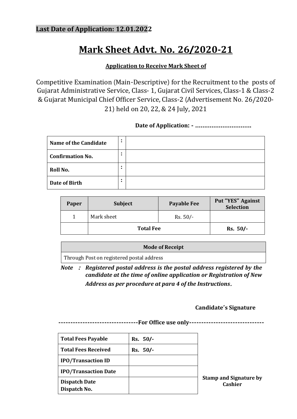# **Mark Sheet Advt. No. 26/2020-21**

#### **Application to Receive Mark Sheet of**

Competitive Examination (Main-Descriptive) for the Recruitment to the posts of Gujarat Administrative Service, Class- 1, Gujarat Civil Services, Class-1 & Class-2 & Gujarat Municipal Chief Officer Service, Class-2 (Advertisement No. 26/2020- 21) held on 20, 22, & 24 July, 2021

#### **Date of Application: - ………………………….**

| <b>Name of the Candidate</b> | $\bullet$<br>$\bullet$ |  |
|------------------------------|------------------------|--|
| <b>Confirmation No.</b>      | $\bullet$              |  |
| Roll No.                     | $\bullet$<br>$\bullet$ |  |
| Date of Birth                | $\bullet$<br>$\bullet$ |  |

| Paper | <b>Subject</b>   | <b>Payable Fee</b> | Put "YES" Against<br><b>Selection</b> |
|-------|------------------|--------------------|---------------------------------------|
|       | Mark sheet       | $Rs. 50/-$         |                                       |
|       | <b>Total Fee</b> | $Rs. 50/-$         |                                       |

| <b>Mode of Receipt</b>                    |  |
|-------------------------------------------|--|
| Through Post on registered postal address |  |

*Note* **:** *Registered postal address is the postal address registered by the candidate at the time of online application or Registration of New Address as per procedure at para 4 of the Instructions*.

#### **Candidate's Signature**

**---------------------------------For Office use only-------------------------------**

| <b>Total Fees Payable</b>            | $Rs. 50/-$ |      |
|--------------------------------------|------------|------|
| <b>Total Fees Received</b>           | $Rs. 50/-$ |      |
| <b>IPO/Transaction ID</b>            |            |      |
| <b>IPO/Transaction Date</b>          |            |      |
| <b>Dispatch Date</b><br>Dispatch No. |            | Stan |

**Stamp and Signature by Cashier**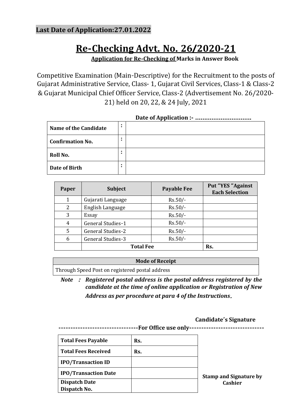### **Last Date of Application:27.01.2022**

# **Re-Checking Advt. No. 26/2020-21**

**Application for Re-Checking of Marks in Answer Book**

Competitive Examination (Main-Descriptive) for the Recruitment to the posts of Gujarat Administrative Service, Class- 1, Gujarat Civil Services, Class-1 & Class-2 & Gujarat Municipal Chief Officer Service, Class-2 (Advertisement No. 26/2020- 21) held on 20, 22, & 24 July, 2021

**Date of Application :- ………………………….**

| Name of the Candidate   | $\bullet$<br>$\bullet$ |  |
|-------------------------|------------------------|--|
| <b>Confirmation No.</b> | $\bullet$              |  |
| Roll No.                | $\bullet$<br>$\bullet$ |  |
| Date of Birth           | $\bullet$<br>$\bullet$ |  |

| Paper | <b>Subject</b>           | <b>Payable Fee</b> | <b>Put "YES "Against</b><br><b>Each Selection</b> |
|-------|--------------------------|--------------------|---------------------------------------------------|
| 1     | Gujarati Language        | $Rs.50/-$          |                                                   |
| 2     | English Language         | $Rs.50/-$          |                                                   |
| 3     | Essay                    | $Rs.50/-$          |                                                   |
| 4     | General Studies-1        | $Rs.50/-$          |                                                   |
| 5     | <b>General Studies-2</b> | $Rs.50/-$          |                                                   |
| 6     | General Studies-3        | $Rs.50/-$          |                                                   |
|       | <b>Total Fee</b>         | Rs.                |                                                   |

#### **Mode of Receipt**

Through Speed Post on registered postal address

*Note* **:** *Registered postal address is the postal address registered by the candidate at the time of online application or Registration of New Address as per procedure at para 4 of the Instructions*.

#### **Candidate's Signature**

**---------------------------------For Office use only-------------------------------**

| <b>Total Fees Payable</b>   | Rs. |    |
|-----------------------------|-----|----|
| <b>Total Fees Received</b>  | Rs. |    |
| <b>IPO/Transaction ID</b>   |     |    |
| <b>IPO/Transaction Date</b> |     | St |
| <b>Dispatch Date</b>        |     |    |
| Dispatch No.                |     |    |

**Stamp and Signature by Cashier**